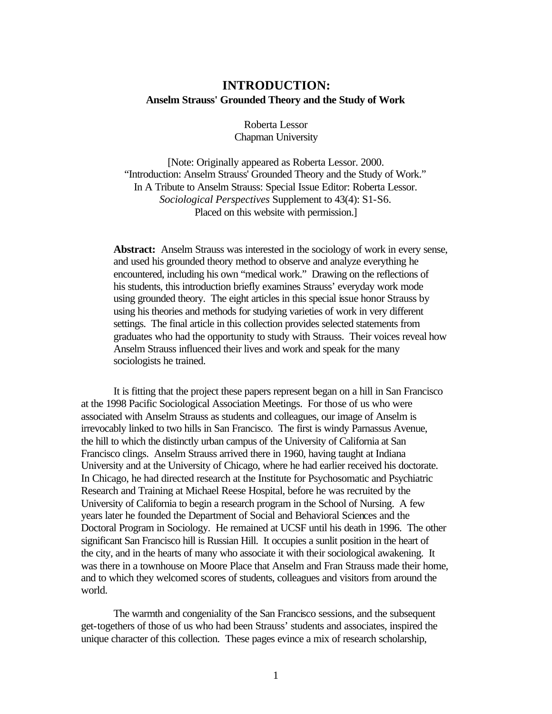## **INTRODUCTION: Anselm Strauss' Grounded Theory and the Study of Work**

Roberta Lessor Chapman University

[Note: Originally appeared as Roberta Lessor. 2000. "Introduction: Anselm Strauss' Grounded Theory and the Study of Work." In A Tribute to Anselm Strauss: Special Issue Editor: Roberta Lessor. *Sociological Perspectives* Supplement to 43(4): S1-S6. Placed on this website with permission.]

**Abstract:** Anselm Strauss was interested in the sociology of work in every sense, and used his grounded theory method to observe and analyze everything he encountered, including his own "medical work." Drawing on the reflections of his students, this introduction briefly examines Strauss' everyday work mode using grounded theory. The eight articles in this special issue honor Strauss by using his theories and methods for studying varieties of work in very different settings. The final article in this collection provides selected statements from graduates who had the opportunity to study with Strauss. Their voices reveal how Anselm Strauss influenced their lives and work and speak for the many sociologists he trained.

It is fitting that the project these papers represent began on a hill in San Francisco at the 1998 Pacific Sociological Association Meetings. For those of us who were associated with Anselm Strauss as students and colleagues, our image of Anselm is irrevocably linked to two hills in San Francisco. The first is windy Parnassus Avenue, the hill to which the distinctly urban campus of the University of California at San Francisco clings. Anselm Strauss arrived there in 1960, having taught at Indiana University and at the University of Chicago, where he had earlier received his doctorate. In Chicago, he had directed research at the Institute for Psychosomatic and Psychiatric Research and Training at Michael Reese Hospital, before he was recruited by the University of California to begin a research program in the School of Nursing. A few years later he founded the Department of Social and Behavioral Sciences and the Doctoral Program in Sociology. He remained at UCSF until his death in 1996. The other significant San Francisco hill is Russian Hill. It occupies a sunlit position in the heart of the city, and in the hearts of many who associate it with their sociological awakening. It was there in a townhouse on Moore Place that Anselm and Fran Strauss made their home, and to which they welcomed scores of students, colleagues and visitors from around the world.

The warmth and congeniality of the San Francisco sessions, and the subsequent get-togethers of those of us who had been Strauss' students and associates, inspired the unique character of this collection. These pages evince a mix of research scholarship,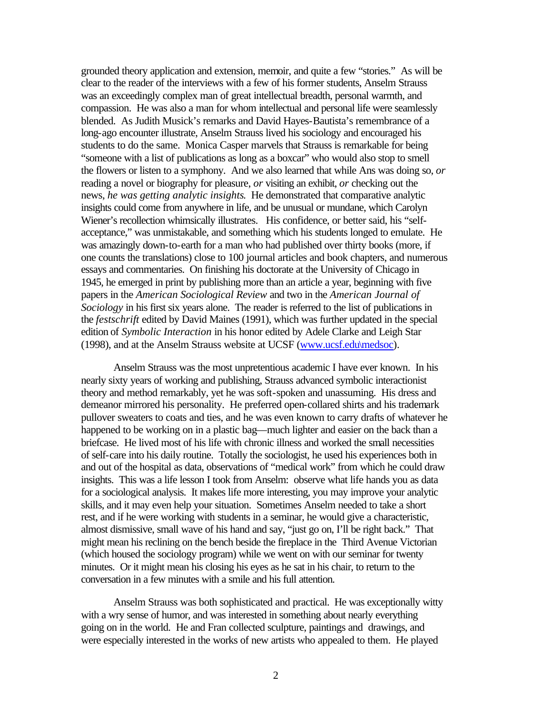grounded theory application and extension, memoir, and quite a few "stories." As will be clear to the reader of the interviews with a few of his former students, Anselm Strauss was an exceedingly complex man of great intellectual breadth, personal warmth, and compassion. He was also a man for whom intellectual and personal life were seamlessly blended. As Judith Musick's remarks and David Hayes-Bautista's remembrance of a long-ago encounter illustrate, Anselm Strauss lived his sociology and encouraged his students to do the same. Monica Casper marvels that Strauss is remarkable for being "someone with a list of publications as long as a boxcar" who would also stop to smell the flowers or listen to a symphony. And we also learned that while Ans was doing so, *or* reading a novel or biography for pleasure, *or* visiting an exhibit, *or* checking out the news, *he was getting analytic insights*. He demonstrated that comparative analytic insights could come from anywhere in life, and be unusual or mundane, which Carolyn Wiener's recollection whimsically illustrates. His confidence, or better said, his "selfacceptance," was unmistakable, and something which his students longed to emulate. He was amazingly down-to-earth for a man who had published over thirty books (more, if one counts the translations) close to 100 journal articles and book chapters, and numerous essays and commentaries. On finishing his doctorate at the University of Chicago in 1945, he emerged in print by publishing more than an article a year, beginning with five papers in the *American Sociological Review* and two in the *American Journal of Sociology* in his first six years alone. The reader is referred to the list of publications in the *festschrift* edited by David Maines (1991), which was further updated in the special edition of *Symbolic Interaction* in his honor edited by Adele Clarke and Leigh Star (1998), and at the Anselm Strauss website at UCSF (www.ucsf.edu\medsoc).

Anselm Strauss was the most unpretentious academic I have ever known. In his nearly sixty years of working and publishing, Strauss advanced symbolic interactionist theory and method remarkably, yet he was soft-spoken and unassuming. His dress and demeanor mirrored his personality. He preferred open-collared shirts and his trademark pullover sweaters to coats and ties, and he was even known to carry drafts of whatever he happened to be working on in a plastic bag—much lighter and easier on the back than a briefcase. He lived most of his life with chronic illness and worked the small necessities of self-care into his daily routine. Totally the sociologist, he used his experiences both in and out of the hospital as data, observations of "medical work" from which he could draw insights. This was a life lesson I took from Anselm: observe what life hands you as data for a sociological analysis. It makes life more interesting, you may improve your analytic skills, and it may even help your situation. Sometimes Anselm needed to take a short rest, and if he were working with students in a seminar, he would give a characteristic, almost dismissive, small wave of his hand and say, "just go on, I'll be right back." That might mean his reclining on the bench beside the fireplace in the Third Avenue Victorian (which housed the sociology program) while we went on with our seminar for twenty minutes. Or it might mean his closing his eyes as he sat in his chair, to return to the conversation in a few minutes with a smile and his full attention.

Anselm Strauss was both sophisticated and practical. He was exceptionally witty with a wry sense of humor, and was interested in something about nearly everything going on in the world. He and Fran collected sculpture, paintings and drawings, and were especially interested in the works of new artists who appealed to them. He played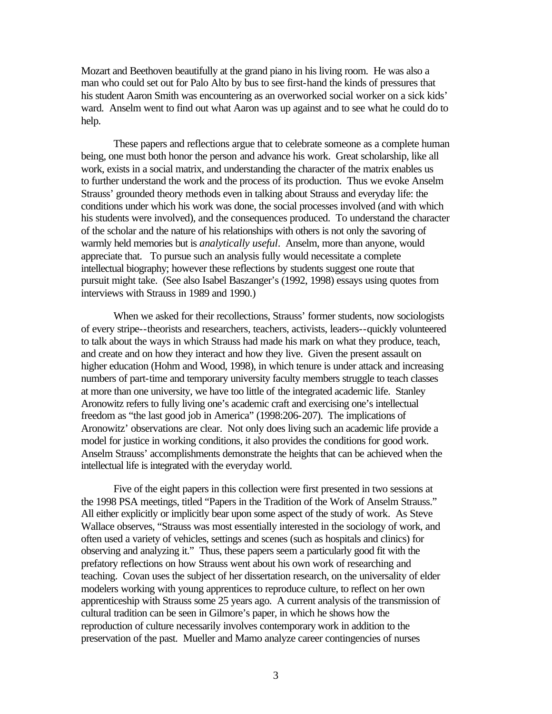Mozart and Beethoven beautifully at the grand piano in his living room. He was also a man who could set out for Palo Alto by bus to see first-hand the kinds of pressures that his student Aaron Smith was encountering as an overworked social worker on a sick kids' ward. Anselm went to find out what Aaron was up against and to see what he could do to help.

These papers and reflections argue that to celebrate someone as a complete human being, one must both honor the person and advance his work. Great scholarship, like all work, exists in a social matrix, and understanding the character of the matrix enables us to further understand the work and the process of its production. Thus we evoke Anselm Strauss' grounded theory methods even in talking about Strauss and everyday life: the conditions under which his work was done, the social processes involved (and with which his students were involved), and the consequences produced. To understand the character of the scholar and the nature of his relationships with others is not only the savoring of warmly held memories but is *analytically useful*. Anselm, more than anyone, would appreciate that. To pursue such an analysis fully would necessitate a complete intellectual biography; however these reflections by students suggest one route that pursuit might take. (See also Isabel Baszanger's (1992, 1998) essays using quotes from interviews with Strauss in 1989 and 1990.)

When we asked for their recollections, Strauss' former students, now sociologists of every stripe--theorists and researchers, teachers, activists, leaders--quickly volunteered to talk about the ways in which Strauss had made his mark on what they produce, teach, and create and on how they interact and how they live. Given the present assault on higher education (Hohm and Wood, 1998), in which tenure is under attack and increasing numbers of part-time and temporary university faculty members struggle to teach classes at more than one university, we have too little of the integrated academic life. Stanley Aronowitz refers to fully living one's academic craft and exercising one's intellectual freedom as "the last good job in America" (1998:206-207). The implications of Aronowitz' observations are clear. Not only does living such an academic life provide a model for justice in working conditions, it also provides the conditions for good work. Anselm Strauss' accomplishments demonstrate the heights that can be achieved when the intellectual life is integrated with the everyday world.

Five of the eight papers in this collection were first presented in two sessions at the 1998 PSA meetings, titled "Papers in the Tradition of the Work of Anselm Strauss." All either explicitly or implicitly bear upon some aspect of the study of work. As Steve Wallace observes, "Strauss was most essentially interested in the sociology of work, and often used a variety of vehicles, settings and scenes (such as hospitals and clinics) for observing and analyzing it." Thus, these papers seem a particularly good fit with the prefatory reflections on how Strauss went about his own work of researching and teaching. Covan uses the subject of her dissertation research, on the universality of elder modelers working with young apprentices to reproduce culture, to reflect on her own apprenticeship with Strauss some 25 years ago. A current analysis of the transmission of cultural tradition can be seen in Gilmore's paper, in which he shows how the reproduction of culture necessarily involves contemporary work in addition to the preservation of the past. Mueller and Mamo analyze career contingencies of nurses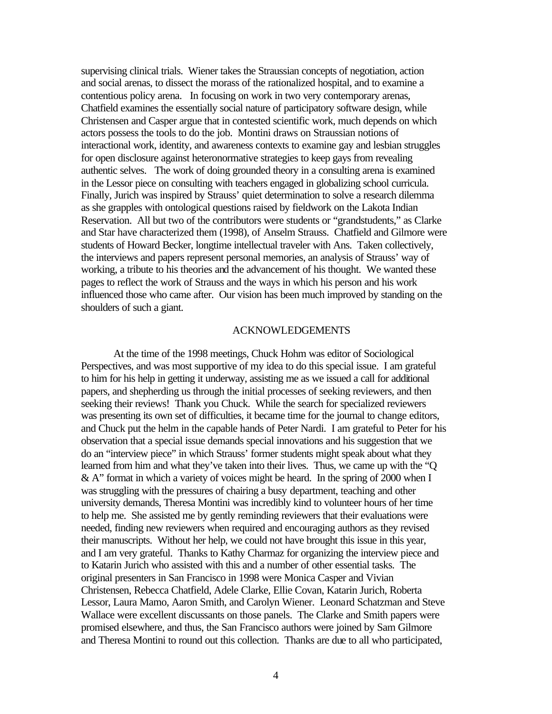supervising clinical trials. Wiener takes the Straussian concepts of negotiation, action and social arenas, to dissect the morass of the rationalized hospital, and to examine a contentious policy arena. In focusing on work in two very contemporary arenas, Chatfield examines the essentially social nature of participatory software design, while Christensen and Casper argue that in contested scientific work, much depends on which actors possess the tools to do the job. Montini draws on Straussian notions of interactional work, identity, and awareness contexts to examine gay and lesbian struggles for open disclosure against heteronormative strategies to keep gays from revealing authentic selves. The work of doing grounded theory in a consulting arena is examined in the Lessor piece on consulting with teachers engaged in globalizing school curricula. Finally, Jurich was inspired by Strauss' quiet determination to solve a research dilemma as she grapples with ontological questions raised by fieldwork on the Lakota Indian Reservation. All but two of the contributors were students or "grandstudents," as Clarke and Star have characterized them (1998), of Anselm Strauss. Chatfield and Gilmore were students of Howard Becker, longtime intellectual traveler with Ans. Taken collectively, the interviews and papers represent personal memories, an analysis of Strauss' way of working, a tribute to his theories and the advancement of his thought. We wanted these pages to reflect the work of Strauss and the ways in which his person and his work influenced those who came after. Our vision has been much improved by standing on the shoulders of such a giant.

## ACKNOWLEDGEMENTS

At the time of the 1998 meetings, Chuck Hohm was editor of Sociological Perspectives, and was most supportive of my idea to do this special issue. I am grateful to him for his help in getting it underway, assisting me as we issued a call for additional papers, and shepherding us through the initial processes of seeking reviewers, and then seeking their reviews! Thank you Chuck. While the search for specialized reviewers was presenting its own set of difficulties, it became time for the journal to change editors, and Chuck put the helm in the capable hands of Peter Nardi. I am grateful to Peter for his observation that a special issue demands special innovations and his suggestion that we do an "interview piece" in which Strauss' former students might speak about what they learned from him and what they've taken into their lives. Thus, we came up with the "Q & A" format in which a variety of voices might be heard. In the spring of 2000 when I was struggling with the pressures of chairing a busy department, teaching and other university demands, Theresa Montini was incredibly kind to volunteer hours of her time to help me. She assisted me by gently reminding reviewers that their evaluations were needed, finding new reviewers when required and encouraging authors as they revised their manuscripts. Without her help, we could not have brought this issue in this year, and I am very grateful. Thanks to Kathy Charmaz for organizing the interview piece and to Katarin Jurich who assisted with this and a number of other essential tasks. The original presenters in San Francisco in 1998 were Monica Casper and Vivian Christensen, Rebecca Chatfield, Adele Clarke, Ellie Covan, Katarin Jurich, Roberta Lessor, Laura Mamo, Aaron Smith, and Carolyn Wiener. Leonard Schatzman and Steve Wallace were excellent discussants on those panels. The Clarke and Smith papers were promised elsewhere, and thus, the San Francisco authors were joined by Sam Gilmore and Theresa Montini to round out this collection. Thanks are due to all who participated,